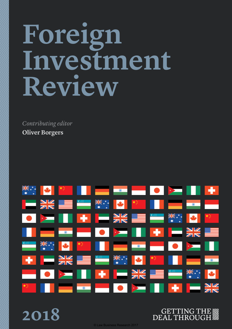# **Foreign Investment Review**

*Contributing editor*

**Oliver Borgers**



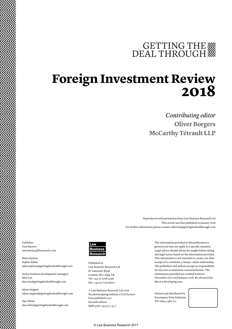## GETTING THE WE DEAL THROUGH

### **Foreign Investment Review 2018**

*Contributing editor* **Oliver Borgers McCarthy Tétrault LLP**

Reproduced with permission from Law Business Research Ltd This article was first published in January 2018 For further information please contact editorial@gettingthedealthrough.com

Publisher Tom Barnes tom.barnes@lbresearch.com

Subscriptions Sophie Pallier subscriptions@gettingthedealthrough.com

Senior business development managers Alan Lee alan.lee@gettingthedealthrough.com

Adam Sargent adam.sargent@gettingthedealthrough.com

Dan White dan.white@gettingthedealthrough.com



Published by Law Business Research Ltd 87 Lancaster Road London, W11 1QQ, UK Tel: +44 20 3708 4199 Fax: +44 20 7229 6910

© Law Business Research Ltd 2018 No photocopying without a CLA licence. First published 2012 Seventh edition ISBN 978-1-912377-41-1

The information provided in this publication is general and may not apply in a specific situation. Legal advice should always be sought before taking any legal action based on the information provided. This information is not intended to create, nor does receipt of it constitute, a lawyer–client relationship. The publishers and authors accept no responsibility for any acts or omissions contained herein. The information provided was verified between December 2017 and January 2018. Be advised that this is a developing area.

Printed and distributed by Encompass Print Solutions Tel: 0844 2480 112

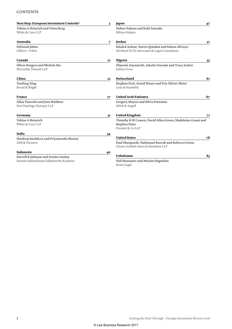#### **CONTENTS**

| <b>Next Step: European Investment Controls?</b>                              | 5  | Japan                                                                                                              | 47 |
|------------------------------------------------------------------------------|----|--------------------------------------------------------------------------------------------------------------------|----|
| <b>Tobias A Heinrich and Orion Berg</b><br>White & Case LLP                  |    | Nobuo Nakata and Koki Yamada<br>Hibiya-Nakata                                                                      |    |
| Australia                                                                    | 7  | <b>Jordan</b>                                                                                                      | 51 |
| Deborah Johns<br>Gilbert + Tobin                                             |    | Khaled Asfour, Norris Qtaishat and Sultan AlFayez<br>Ali Sharif Zu'bi Advocates & Legal Consultants                |    |
| Canada                                                                       | 12 | Nigeria                                                                                                            | 55 |
| <b>Oliver Borgers and Michele Siu</b><br>McCarthy Tétrault LLP               |    | Olayemi Anyanechi, Adeola Owoade and Tracy Izekor<br><b>Sefton Fross</b>                                           |    |
| China                                                                        | 22 | Switzerland                                                                                                        | 61 |
| <b>Yunfeng Xing</b><br>Broad & Bright                                        |    | Stephan Erni, Astrid Waser and Eric Olivier Meier<br>Lenz & Staehelin                                              |    |
| <b>France</b>                                                                | 27 | <b>United Arab Emirates</b>                                                                                        | 67 |
| Aline Poncelet and Jens Waldner<br>Paul Hastings (Europe) LLP                |    | <b>Gregory Mayew and Silvia Pretorius</b><br>Afridi & Angell                                                       |    |
| Germany                                                                      | 31 | <b>United Kingdom</b>                                                                                              | 71 |
| <b>Tobias A Heinrich</b><br>White & Case LLP                                 |    | Timothy R W Cowen, David Allen Green, Madeleine Gaunt and<br><b>Stephen Dnes</b><br>Preiskel & Co LLP              |    |
| India                                                                        | 34 |                                                                                                                    |    |
| Hardeep Sachdeva and Priyamvada Shenoy<br>AZB & Partners                     |    | <b>United States</b><br>Paul Marquardt, Nathanael Kurcab and Rebecca Green<br>Cleary Gottlieb Steen & Hamilton LLP | 78 |
| <b>Indonesia</b>                                                             | 40 | <b>Uzbekistan</b>                                                                                                  |    |
| Darrell R Johnson and Irwina Annisa<br>Soewito Suhardiman Eddymurthy Kardono |    | Nail Hassanov and Maxim Dogonkin<br>Kosta Legal                                                                    | 83 |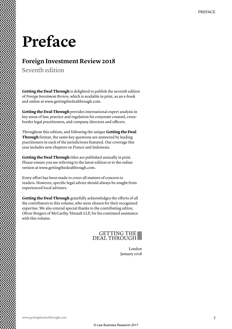### **Preface**

#### **Foreign Investment Review 2018**

Seventh edition

**Getting the Deal Through** is delighted to publish the seventh edition of *Foreign Investment Review*, which is available in print, as an e-book and online at www.gettingthedealthrough.com.

**Getting the Deal Through** provides international expert analysis in key areas of law, practice and regulation for corporate counsel, crossborder legal practitioners, and company directors and officers.

Throughout this edition, and following the unique **Getting the Deal Through** format, the same key questions are answered by leading practitioners in each of the jurisdictions featured. Our coverage this year includes new chapters on France and Indonesia.

**Getting the Deal Through** titles are published annually in print. Please ensure you are referring to the latest edition or to the online version at www.gettingthedealthrough.com.

Every effort has been made to cover all matters of concern to readers. However, specific legal advice should always be sought from experienced local advisers.

**Getting the Deal Through** gratefully acknowledges the efforts of all the contributors to this volume, who were chosen for their recognised expertise. We also extend special thanks to the contributing editor, Oliver Borgers of McCarthy Tétrault LLP, for his continued assistance with this volume.

### GETTING THE

London January 2018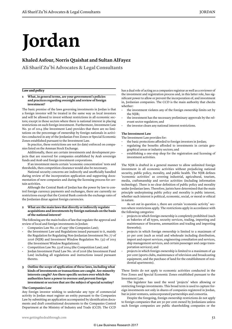# **Jordan**

#### **Khaled Asfour, Norris Qtaishat and Sultan AlFayez**

**Ali Sharif Zu'bi Advocates & Legal Consultants**

#### **Law and policy**

#### **1 What, in general terms, are your government's policies and practices regarding oversight and review of foreign investment?**

The basic premise of the laws governing investments in Jordan is that a foreign investor will be treated in the same way as local investors and will be allowed to invest without restrictions in all economic sectors; except in those sectors where there is national interest in placing restrictions on such foreign investment. Furthermore, Investment Law No. 30 of 2014 (the Investment Law) provides that there are no limitations on the percentage of ownership by foreign nationals in activities conducted in any of the Jordanian Free Zones or Special Economic Zones established pursuant to the Investment Law.

In practice, these restrictions are not (to date) enforced on companies listed on the Amman Stock Exchange.

Additionally, there are certain investments and development projects that are reserved for companies established by Arab sovereign funds and Arab and foreign investment corporations.

If an investment meets certain 'economic concentration' tests and thresholds, then competition clearance would also be necessary.

National security concerns are indirectly and unofficially handled during review of the incorporation application and supporting documentation of new companies and during the licensing process for certain activities.

Although the Central Bank of Jordan has the power by law to control foreign currency payments and exchanges, there are currently no restrictions except that the Central Bank controls the exchange rates of the Jordanian dinar against foreign currencies.

#### **2 What are the main laws that directly or indirectly regulate acquisitions and investments by foreign nationals on the basis of the national interest?**

The following are the main bodies of law that regulate the approval and review of local and foreign investments in Jordan:

- Companies Law No. 22 of 1997 (the Companies Law);
- the Investment Law and Regulations issued pursuant to it, mainly the Regulation for Regulating Non-Jordanian Investment No. 77 of 2016 (NJIR) and Investment Window Regulation No. (32) of 2015 (the Investment Window Regulations);
- Competition Law No. 33 of 2004 (the Competition Law); and
- Jordan Investment Fund Law No. 16 of 2016 (the Investment Fund Law) including all regulations and instructions issued pursuant thereto.
- **3 Outline the scope of application of these laws, including what kinds of investments or transactions are caught. Are minority interests caught? Are there specific sectors over which the authorities have a power to oversee and prevent foreign investment or sectors that are the subject of special scrutiny?**

#### **The Companies Law**

Any foreign investor wishing to undertake any type of commercial activity in Jordan must register an entity pursuant to the Companies Law by submitting an application accompanied by identification documents and draft constitutional documents to the Companies Control Department at the Ministry of Industry and Trade (CCD). The CCD has a dual role of acting as a companies registrar as well as a reviewer of the investment and registration process and, in this latter role, has significant power to allow or prevent the incorporation of, and investment in, Jordanian companies. The CCD is the main authority that checks whether:

- the investment violates any of the foreign ownership limits set by the NIIR:
- the investment has the necessary preliminary approvals by the relevant sector regulators; and
- the investor clears any national interest restrictions.

#### **The Investment Law**

The Investment Law provides for:

- the basic protections afforded to foreign investors in Jordan;
- regulating the benefits afforded to investments in certain geographical areas or industry sectors; and
- establishing a one-stop shop for the registration and licensing of investment activities.

The NJIR is drafted in a general manner to allow unlimited foreign investment in all economic activities without prejudicing national security, public policy, morality, and public health. The NJIR defines 'economic activities' as covering industrial, agricultural, tourism, media, craftsmanship and service activities (including information technology). There is no clear definition of public policy and morality under Jordanian laws. Therefore, jurists have determined that the main principle underpinning public policy and morality is public interest, whether such interest is political, economic, social, or moral or ethical in nature.

As set out in question 1, there are certain 'economic activity' sectors where restrictions apply. The restrictions apply in accordance with the following categories:

- projects in which foreign ownership is completely prohibited (such as bakeries of all types, security services, trading, importing and maintenance of firearms, ammunition and trading and importing fireworks);
- projects in which foreign ownership is limited to a maximum of 50 per cent (such as retail and wholesale including distribution, import and export services, engineering consultation and services, ship management services, and certain passenger and cargo transportation services); and
- projects in which foreign ownership is limited to a maximum of 49 per cent (sports clubs, maintenance of television and broadcasting equipment, and the purchase of land for the establishment of residential apartments).

These limits do not apply to economic activities conducted in the Free Zones and Special Economic Zones established pursuant to the Investment Law.

The legislator has used the word 'projects' when allowing or restricting foreign investments. This broad term is used to capture foreign investments not only in shares of companies registered in Jordan, but in joint ventures, unincorporated partnerships and consortia.

Despite the foregoing, foreign ownership restrictions do not apply to foreign companies that are 50 per cent owned by Jordanians unless such foreign companies are public shareholding companies or the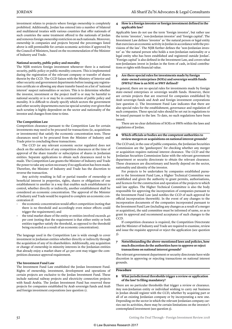investment relates to projects where foreign ownership is completely prohibited. Additionally, Jordan has entered into a number of bilateral and multilateral treaties with various countries that offer nationals of such countries the same treatment offered to the nationals of Jordan and removes foreign ownership restriction on such nationals. Moreover, ownership in companies and projects beyond the percentages listed above is still permissible for certain economic activities if approved by the Council of Ministers, based on the recommendation of the Minister of Industry and Trade.

#### **National security, public policy and morality**

The NJIR restricts foreign investment whenever there is a national security, public policy or public morality concern. This is implemented during the registration of the relevant company or transfer of shares therein by the CCD. The CCD liaises with the Ministry of Interior and other security and government departments before issuing any registration certificate or allowing any share transfer based on a list of 'national interest' suspect nationalities or sectors. This is to determine whether the investor, investment or the project itself is or may be harmful to national security or is or may be in contravention of public policy and morality. It is difficult to clearly specify which sectors the government and other security departments exercise special scrutiny over given that such scrutiny is highly dependent on the sector and nationality of the investor and changes from time to time.

#### **The Competition Law**

Competition clearance pursuant to the Competition Law for certain investments may need to be procured for transactions (ie, acquisitions or investments) that satisfy the economic concentration tests. These clearances need to be procured from the Minister of Industry and Trade prior to concluding these transactions.

The CCD (or any relevant economic sector regulator) does not check on the satisfaction of any competition clearances at the time of approval of the share transfer or subscription of shares in Jordanian entities. Separate applications to obtain such clearances need to be made. The Competition Law grants the Minister of Industry and Trade the power to take any action necessary if no application has been made. Therefore, the Minister of Industry and Trade has the discretion to reverse the transaction.

Any activity resulting in full or partial transfer of ownership or beneficial interest in properties, rights, shares or obligations of one establishment to another in a way that enables such establishment to control, whether directly or indirectly, another establishment shall be considered an economic concentration. The approval of the Minister of Industry and Trade would be required to complete an economic concentration if:

- the economic concentration would affect competition (noting that there is no threshold and accordingly even minor effects could trigger the requirement); and
- the total market share of the entity or entities involved exceeds 40 per cent (noting that the requirement is that either entity or both entities together satisfy the threshold, as opposed to the threshold being exceeded as a result of an economic concentration).

The language used in the Competition Law is wide enough to cover investment in Jordanian entities whether directly or indirectly through the acquisition of any of its shareholders. Additionally, any acquisition or change of ownership in minority interests in the Jordanian entities that already enjoy a market share of 40 per cent may trigger the competition clearance approval requirement.

#### **The Investment Fund Law**

The Investment Fund Law established the Jordan Investment Fund. Rights of ownership, investment, development and operations of certain projects are exclusive to the Jordan Investment Fund. These include national railway projects and electricity connection projects with Saudi Arabia. The Jordan Investment Fund has reserved these projects for companies established by Arab sovereign funds and Arab and foreign investment corporations (see question 1).

#### **4 How is a foreign investor or foreign investment defined in the applicable law?**

Applicable laws do not use the term 'foreign investor', but rather use the terms 'investor', 'non-Jordanian investor' and 'foreign capital'. The Investment Law defines 'investor' as 'the natural person or legal entity that exercises an economic activity in Jordan in accordance with the provisions of the law'. The NJIR further defines the 'non-Jordanian investor' as 'the natural person who holds a non-Jordanian nationality or a legal entity who has been established and registered outside Jordan'. 'Foreign capital' is also defined in the Investment Law, and covers what non-Jordanians invest in Jordan in the form of cash, in-kind contributions or rights with financial value.

#### **5 Are there special rules for investments made by foreign state-owned enterprises (SOEs) and sovereign wealth funds (SWFs)? How is an SOE or SWF defined?**

In general, there are no special rules for investments made by foreign state-owned enterprises or sovereign wealth funds. However, there are certain projects that are reserved for companies established by Arab sovereign funds and Arab and foreign investment corporations (see question 1). The Investment Fund Law indicates that there are also special rules for the establishment, governance and regulation of such companies. These special rules should be set out in regulations to be issued pursuant to the law. To date, no such regulations have been issued.

There are no clear definitions of SOEs or SWFs within the laws and regulations of Jordan.

#### **6 Which officials or bodies are the competent authorities to review mergers or acquisitions on national interest grounds?**

The CCD and, in the case of public companies, the Jordanian Securities Commission are the 'gatekeepers' for checking whether any merger or acquisition requires national interest clearance. The CCD and the Jordanian Securities Commission liaise with the relevant government department or security directorate to obtain the relevant clearance. These clearances are discretionary and heavily depend on the sector, nationality and identity of the investor.

For projects to be undertaken by companies established pursuant to the Investment Fund Law, a Higher Technical Committee was established and given the authority to grant permits, authorisations, and licences for the construction and operation of the projects to which said law applies. The Higher Technical Committee is also the body responsible for approving the incorporation of companies pursuant to the Investment Fund Law (and notifies the CCD of such approval for official incorporation therewith). In the event of any changes to the incorporation documents of the companies incorporated pursuant to the Investment Fund Law (including any changes as a result of a merger or acquisition), the said committee must be informed of same, so as to grant its approval and recommend acceptance of such changes to the CCD.

If competition clearance is required, the Competition Directorate and the Minister of Industry and Trade are required to examine, review and issue the requisite approval or reject the application (see question 3).

#### **7 Notwithstanding the above-mentioned laws and policies, how much discretion do the authorities have to approve or reject transactions on national interest grounds?**

The relevant government department or security directorate have wide discretion in approving or rejecting transactions on national interest grounds.

#### **Procedure**

#### **8 What jurisdictional thresholds trigger a review or application of the law? Is filing mandatory?**

There are no particular thresholds that trigger a review or clearance. Any non-Jordanian entity or individual wishing to carry out business in Jordan should register with the CCD, whether by acquiring part or all of an existing Jordanian company or by incorporating a new one. Depending on the sector in which the relevant Jordanian company carries out its activities, there may be certain limitations on the investor's contemplated investment (see question 3).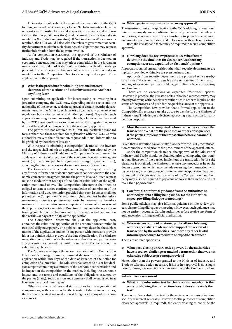An investor should submit the required documentation to the CCD for filing in the relevant company's folder. Such documents include the relevant share transfer forms and corporate documents and authorisations (for corporate investors) and personal identification documentation (for individual investors). If 'national interest' clearance is required, the CCD would liaise with the relevant government or security department to obtain such clearance, the department may request further information from the relevant investor.

As for competition clearances, the approval of the Minister of Industry and Trade may be required if the transaction is deemed an economic concentration that may affect competition in the Jordanian market or if the total market share of the entities involved exceeds 40 per cent. In such an event, submission of certain information or documentation to the Competition Directorate is required as part of the application for the approval.

#### **9 What is the procedure for obtaining national interest clearance of transactions and other investments? Are there any filing fees?**

Upon submitting an application for incorporating or investing in a Jordanian company, the CCD may, depending on the sector and the nationality of the investor, seek the approval of certain security departments (usually, the Ministry of Interior) as well as any other relevant regulatory body (for technical and other purposes). Typically, such approvals are sought simultaneously, whereby a letter is directly issued by the CCD to such authorities and completion of the registration procedure will be stalled pending receipt of the necessary approvals.

The parties are not required to fill out any particular standard forms other than those required for registration with the CCD. Certain authorities may, at their discretion, request additional information to be provided by the relevant investor.

With respect to obtaining a competition clearance, the investor and the target shall submit an application (in the form adopted by the Ministry of Industry and Trade) to the Competition Directorate within 30 days of the date of execution of the economic concentration agreement (ie, the share purchase agreement, merger agreement, etc), attaching thereto the necessary documentation or information.

The Competition Directorate has the right to request in writing any further information or documentation in connection with the economic concentration agreement and the parties involved. Such request must be made within 60 days of the date of submission of the application mentioned above. The Competition Directorate shall then be obliged to issue a notice confirming completion of submission of the information and documentation provided that such issuance shall not prejudice the Competition Directorate's right to request further information or exercise its supervisory authority. In the event that the information and documentation were complete at the time of submission of the application, the Competition Directorate must issue the notice confirming completion of submission of the information and documentation within 60 days of the date of the application.

The Competition Directorate shall, at the applicants' cost, announce the submitted application of the economic concentration in two local daily newspapers. The publication must describe the subject matter of the application and invite any person with interest to provide his or her opinion within 15 days of the date of publication. The Minister may, after consultation with the relevant authorities and parties, take any precautionary procedures until the issuance of a decision on the submitted application.

The Minister may, upon the recommendation of the Competition Directorate's manager, issue a reasoned decision on the submitted application within 100 days of the date of issuance of the notice for completion of submission. The Minister shall attach to his or her decision a report containing a summary of the economic concentration and its impact on the competition in the market, including the economic impact and the terms and conditions of the obligations assumed by the parties (if any). Such decision and summary shall be published in at least two daily local newspapers.

Other than the usual fees and stamp duties for the registration of companies or, as the case may be, the transfer of shares in companies, there are no specified national interest filing fees for any of the above clearances.

#### **10 Which party is responsible for securing approval?**

The investor submits the application to the CCD. Although any national interest approvals are coordinated internally between the relevant authorities, it is the investor's responsibility to provide the required documentation or information and to follow up with such authorities.

Both the investor and target may be required to secure competition approval.

#### **11 How long does the review process take? What factors determine the timelines for clearance? Are there any exemptions, or any expedited or 'fast-track' options?**

Approvals sought from authorities other than security departments are typically provided within five to seven business days.

Approvals from security departments are procured on a case-bycase basis and certain factors such as the nationality of the investor, and any of its related parties could trigger different levels of scrutiny and timelines.

There are no exemptions or expedited 'fast-track' options. However, in practice, the investor, or its authorised representative, may directly follow up with the relevant authorities in order to inquire on the status of the process and push for the quick issuance of the approvals.

The Competition Law provides that a formal application to the Competition Directorate can take up to 160 days before the Minister of Industry and Trade issues a decision approving a transaction for competition purposes.

#### **12 Must the review be completed before the parties can close the transaction? What are the penalties or other consequences if the parties implement the transaction before clearance is obtained?**

Given that registration can only take place before the CCD, the transaction cannot be closed prior to the procurement of the approval letters.

As for the competition clearance, the approval of the Minister of Industry and Trade should be obtained prior to completing the transaction. However, if the parties implement the transaction before the clearance is obtained, the Minister may take any procedures he or she deems appropriate (which may include reversing the transaction) with respect to any economic concentration where no application has been submitted or if it violates the provisions of the Competition Law. Each party may, also, be required to pay a fine of no less than 10,000 and not more than 50,000 dinar.

#### **13 Can formal or informal guidance from the authorities be obtained prior to a filing being made? Do the authorities expect pre-filing dialogue or meetings?**

Some public officials may give informal guidance on the review process via pre-filing dialogues or meetings. However, such guidance may not be entirely accurate. Certain authorities refuse to give any form of guidance prior to filing an official application.

#### **14 When are government relations, public affairs, lobbying or other specialists made use of to support the review of a transaction by the authorities? Are there any other lawful informal procedures to facilitate or expedite clearance?**

There are no such specialists.

#### **15 What post-closing or retroactive powers do the authorities have to review, challenge or unwind a transaction that was not otherwise subject to pre-merger review?**

None, other than the powers granted to the Minister of Industry and Trade to take any action necessary if his or her approval is not sought prior to closing a transaction in contravention of the Competition Law.

#### **Substantive assessment**

#### **16 What is the substantive test for clearance and on whom is the onus for showing the transaction does or does not satisfy the test?**

There is no clear substantive test for the review on the basis of national security or interest generally. However, for the purposes of competition clearance approvals (if required), the entity wishing to conclude the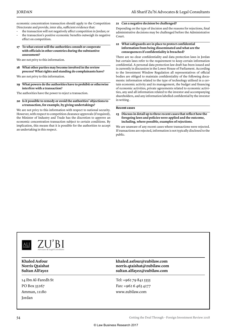economic concentration transaction should apply to the Competition Directorate and provide, inter alia, sufficient evidence that:

- the transaction will not negatively affect competition in Jordan; or the transaction's positive economic benefits outweigh its negative effect on competition.
- **17 To what extent will the authorities consult or cooperate with officials in other countries during the substantive assessment?**
- We are not privy to this information.
- **18 What other parties may become involved in the review process? What rights and standing do complainants have?**

We are not privy to this information.

**19 What powers do the authorities have to prohibit or otherwise interfere with a transaction?**

The authorities have the power to reject a transaction.

**20 Is it possible to remedy or avoid the authorities' objections to a transaction, for example, by giving undertakings?**

We are not privy to this information with respect to national security. However, with respect to competition clearance approvals (if required), the Minister of Industry and Trade has the discretion to approve an economic concentration transaction subject to certain conditions. By implication, this means that it is possible for the authorities to accept an undertaking in this respect.

#### **21 Can a negative decision be challenged?**

Depending on the type of decision and the reasons for rejections, final administrative decisions may be challenged before the Administrative Court.

#### **22 What safeguards are in place to protect confidential information from being disseminated and what are the consequences if confidentiality is breached?**

There are no clear confidentiality and data protection laws in Jordan but certain laws refer to the requirement to keep certain information confidential. A personal data protection law draft has been issued and is currently in discussion in the Lower House of Parliament. According to the Investment Window Regulation all representatives of official bodies are obliged to maintain confidentiality of the following documents: information related to the type of technology utilised in a certain economic activity and its management, the budget and financing of economic activities, private agreements related to economic activities, any and all information related to the investor and accompanying shareholders, and any information labelled confidential by the investor in writing .

#### **Recent cases**

**23 Discuss in detail up to three recent cases that reflect how the foregoing laws and policies were applied and the outcome, including, where possible, examples of rejections.**

We are unaware of any recent cases where transactions were rejected. If transactions are rejected, information is not typically disclosed to the public.





14 Ibn Al-Faredh St PO Box 35267 Amman, 11180 Jordan

#### **Khaled Asfour khaled.asfour@zubilaw.com Norris Qtaishat norris.qtaishat@zubilaw.com Sultan AlFayez sultan.alfayez@zubilaw.com**

Tel: +962 79 841 5555 Fax: +962 6 463 4277 www.zubilaw.com